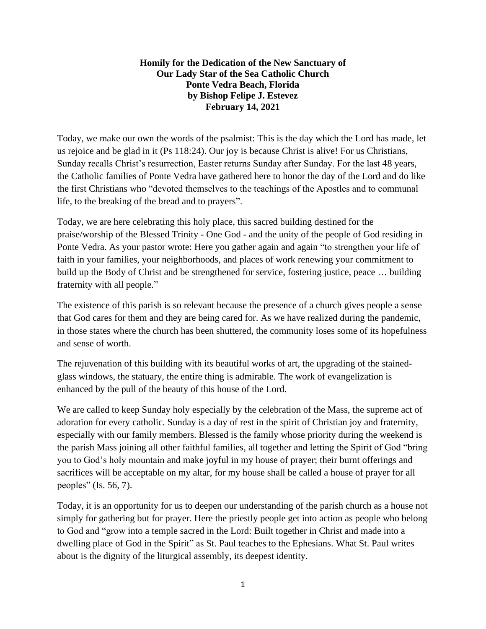## **Homily for the Dedication of the New Sanctuary of Our Lady Star of the Sea Catholic Church Ponte Vedra Beach, Florida by Bishop Felipe J. Estevez February 14, 2021**

Today, we make our own the words of the psalmist: This is the day which the Lord has made, let us rejoice and be glad in it (Ps 118:24). Our joy is because Christ is alive! For us Christians, Sunday recalls Christ's resurrection, Easter returns Sunday after Sunday. For the last 48 years, the Catholic families of Ponte Vedra have gathered here to honor the day of the Lord and do like the first Christians who "devoted themselves to the teachings of the Apostles and to communal life, to the breaking of the bread and to prayers".

Today, we are here celebrating this holy place, this sacred building destined for the praise/worship of the Blessed Trinity - One God - and the unity of the people of God residing in Ponte Vedra. As your pastor wrote: Here you gather again and again "to strengthen your life of faith in your families, your neighborhoods, and places of work renewing your commitment to build up the Body of Christ and be strengthened for service, fostering justice, peace … building fraternity with all people."

The existence of this parish is so relevant because the presence of a church gives people a sense that God cares for them and they are being cared for. As we have realized during the pandemic, in those states where the church has been shuttered, the community loses some of its hopefulness and sense of worth.

The rejuvenation of this building with its beautiful works of art, the upgrading of the stainedglass windows, the statuary, the entire thing is admirable. The work of evangelization is enhanced by the pull of the beauty of this house of the Lord.

We are called to keep Sunday holy especially by the celebration of the Mass, the supreme act of adoration for every catholic. Sunday is a day of rest in the spirit of Christian joy and fraternity, especially with our family members. Blessed is the family whose priority during the weekend is the parish Mass joining all other faithful families, all together and letting the Spirit of God "bring you to God's holy mountain and make joyful in my house of prayer; their burnt offerings and sacrifices will be acceptable on my altar, for my house shall be called a house of prayer for all peoples" (Is. 56, 7).

Today, it is an opportunity for us to deepen our understanding of the parish church as a house not simply for gathering but for prayer. Here the priestly people get into action as people who belong to God and "grow into a temple sacred in the Lord: Built together in Christ and made into a dwelling place of God in the Spirit" as St. Paul teaches to the Ephesians. What St. Paul writes about is the dignity of the liturgical assembly, its deepest identity.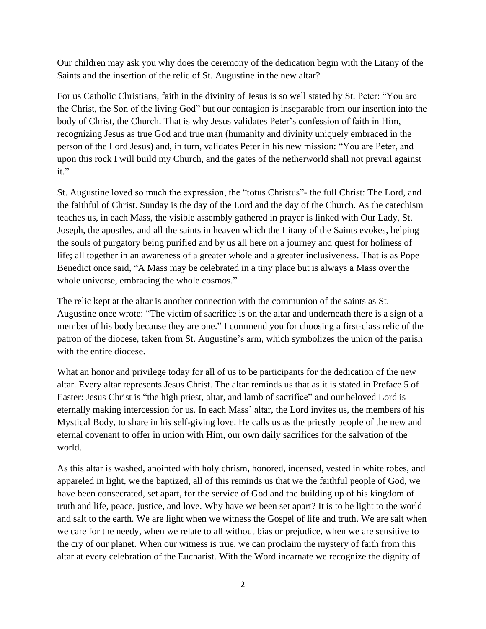Our children may ask you why does the ceremony of the dedication begin with the Litany of the Saints and the insertion of the relic of St. Augustine in the new altar?

For us Catholic Christians, faith in the divinity of Jesus is so well stated by St. Peter: "You are the Christ, the Son of the living God" but our contagion is inseparable from our insertion into the body of Christ, the Church. That is why Jesus validates Peter's confession of faith in Him, recognizing Jesus as true God and true man (humanity and divinity uniquely embraced in the person of the Lord Jesus) and, in turn, validates Peter in his new mission: "You are Peter, and upon this rock I will build my Church, and the gates of the netherworld shall not prevail against it."

St. Augustine loved so much the expression, the "totus Christus"- the full Christ: The Lord, and the faithful of Christ. Sunday is the day of the Lord and the day of the Church. As the catechism teaches us, in each Mass, the visible assembly gathered in prayer is linked with Our Lady, St. Joseph, the apostles, and all the saints in heaven which the Litany of the Saints evokes, helping the souls of purgatory being purified and by us all here on a journey and quest for holiness of life; all together in an awareness of a greater whole and a greater inclusiveness. That is as Pope Benedict once said, "A Mass may be celebrated in a tiny place but is always a Mass over the whole universe, embracing the whole cosmos."

The relic kept at the altar is another connection with the communion of the saints as St. Augustine once wrote: "The victim of sacrifice is on the altar and underneath there is a sign of a member of his body because they are one." I commend you for choosing a first-class relic of the patron of the diocese, taken from St. Augustine's arm, which symbolizes the union of the parish with the entire diocese.

What an honor and privilege today for all of us to be participants for the dedication of the new altar. Every altar represents Jesus Christ. The altar reminds us that as it is stated in Preface 5 of Easter: Jesus Christ is "the high priest, altar, and lamb of sacrifice" and our beloved Lord is eternally making intercession for us. In each Mass' altar, the Lord invites us, the members of his Mystical Body, to share in his self-giving love. He calls us as the priestly people of the new and eternal covenant to offer in union with Him, our own daily sacrifices for the salvation of the world.

As this altar is washed, anointed with holy chrism, honored, incensed, vested in white robes, and appareled in light, we the baptized, all of this reminds us that we the faithful people of God, we have been consecrated, set apart, for the service of God and the building up of his kingdom of truth and life, peace, justice, and love. Why have we been set apart? It is to be light to the world and salt to the earth. We are light when we witness the Gospel of life and truth. We are salt when we care for the needy, when we relate to all without bias or prejudice, when we are sensitive to the cry of our planet. When our witness is true, we can proclaim the mystery of faith from this altar at every celebration of the Eucharist. With the Word incarnate we recognize the dignity of